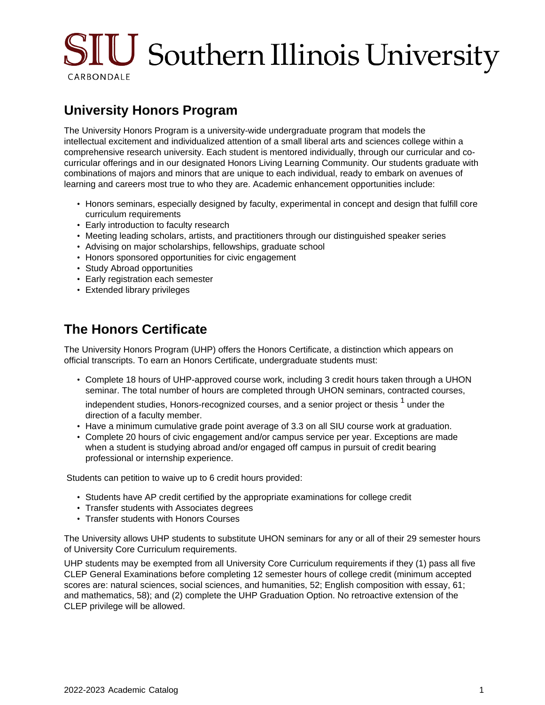# SIU Southern Illinois University CARBONDALE

## **University Honors Program**

The University Honors Program is a university-wide undergraduate program that models the intellectual excitement and individualized attention of a small liberal arts and sciences college within a comprehensive research university. Each student is mentored individually, through our curricular and cocurricular offerings and in our designated Honors Living Learning Community. Our students graduate with combinations of majors and minors that are unique to each individual, ready to embark on avenues of learning and careers most true to who they are. Academic enhancement opportunities include:

- Honors seminars, especially designed by faculty, experimental in concept and design that fulfill core curriculum requirements
- Early introduction to faculty research
- Meeting leading scholars, artists, and practitioners through our distinguished speaker series
- Advising on major scholarships, fellowships, graduate school
- Honors sponsored opportunities for civic engagement
- Study Abroad opportunities
- Early registration each semester
- Extended library privileges

#### **The Honors Certificate**

The University Honors Program (UHP) offers the Honors Certificate, a distinction which appears on official transcripts. To earn an Honors Certificate, undergraduate students must:

• Complete 18 hours of UHP-approved course work, including 3 credit hours taken through a UHON seminar. The total number of hours are completed through UHON seminars, contracted courses,

independent studies, Honors-recognized courses, and a senior project or thesis  $^{\text{1}}$  under the direction of a faculty member.

- Have a minimum cumulative grade point average of 3.3 on all SIU course work at graduation.
- Complete 20 hours of civic engagement and/or campus service per year. Exceptions are made when a student is studying abroad and/or engaged off campus in pursuit of credit bearing professional or internship experience.

Students can petition to waive up to 6 credit hours provided:

- Students have AP credit certified by the appropriate examinations for college credit
- Transfer students with Associates degrees
- Transfer students with Honors Courses

The University allows UHP students to substitute UHON seminars for any or all of their 29 semester hours of University Core Curriculum requirements.

UHP students may be exempted from all University Core Curriculum requirements if they (1) pass all five CLEP General Examinations before completing 12 semester hours of college credit (minimum accepted scores are: natural sciences, social sciences, and humanities, 52; English composition with essay, 61; and mathematics, 58); and (2) complete the UHP Graduation Option. No retroactive extension of the CLEP privilege will be allowed.